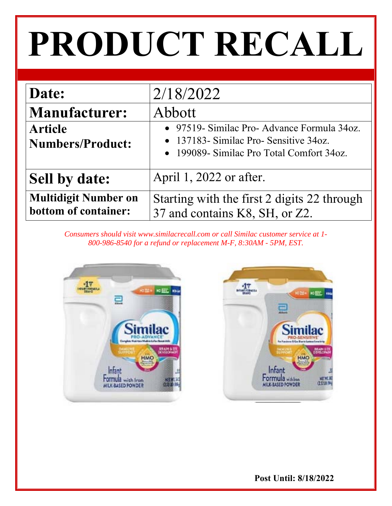# **PRODUCT RECALL**

| Date:                                               | 2/18/2022                                                                                                                                 |
|-----------------------------------------------------|-------------------------------------------------------------------------------------------------------------------------------------------|
| <b>Manufacturer:</b>                                | Abbott                                                                                                                                    |
| <b>Article</b><br><b>Numbers/Product:</b>           | • 97519- Similac Pro- Advance Formula 34oz.<br>$\bullet$ 137183- Similac Pro-Sensitive 34oz.<br>• 199089- Similac Pro Total Comfort 34oz. |
| <b>Sell by date:</b>                                | April 1, 2022 or after.                                                                                                                   |
| <b>Multidigit Number on</b><br>bottom of container: | Starting with the first 2 digits 22 through<br>37 and contains K8, SH, or Z2.                                                             |

*Consumers should visit www.similacrecall.com or call Similac customer service at 1- 800-986-8540 for a refund or replacement M-F, 8:30AM - 5PM, EST.* 



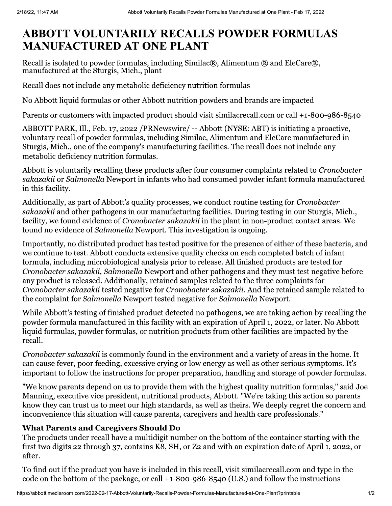## **ABBOTT VOLUNTARILY RECALLS POWDER FORMULAS MANUFACTURED AT ONE PLANT**

Recall is isolated to powder formulas, including Similac®, Alimentum  $\circledR$  and EleCare $\circledR$ , manufactured at the Sturgis, Mich., plant

Recall does not include any metabolic deficiency nutrition formulas

No Abbott liquid formulas or other Abbott nutrition powders and brands are impacted

Parents or customers with impacted product should visit similacrecall.com or call +1-800-986-8540

ABBOTT PARK, Ill., Feb. 17, 2022 / PRNewswire/ -- Abbott (NYSE: ABT) is initiating a proactive, voluntary recall of powder formulas, including Similac, Alimentum and EleCare manufactured in Sturgis, Mich., one of the company's manufacturing facilities. The recall does not include any metabolic deficiency nutrition formulas.

Abbott is voluntarily recalling these products after four consumer complaints related to Cronobacter sakazakii or Salmonella Newport in infants who had consumed powder infant formula manufactured in this facility.

Additionally, as part of Abbott's quality processes, we conduct routine testing for *Cronobacter* sakazakii and other pathogens in our manufacturing facilities. During testing in our Sturgis, Mich., facility, we found evidence of *Cronobacter sakazakii* in the plant in non-product contact areas. We found no evidence of Salmonella Newport. This investigation is ongoing.

Importantly, no distributed product has tested positive for the presence of either of these bacteria, and we continue to test. Abbott conducts extensive quality checks on each completed batch of infant formula, including microbiological analysis prior to release. All finished products are tested for Cronobacter sakazakii. Salmonella Newport and other pathogens and they must test negative before any product is released. Additionally, retained samples related to the three complaints for Cronobacter sakazakii tested negative for Cronobacter sakazakii. And the retained sample related to the complaint for Salmonella Newport tested negative for Salmonella Newport.

While Abbott's testing of finished product detected no pathogens, we are taking action by recalling the powder formula manufactured in this facility with an expiration of April 1, 2022, or later. No Abbott liquid formulas, powder formulas, or nutrition products from other facilities are impacted by the recall.

Cronobacter sakazakii is commonly found in the environment and a variety of areas in the home. It can cause fever, poor feeding, excessive crying or low energy as well as other serious symptoms. It's important to follow the instructions for proper preparation, handling and storage of powder formulas.

"We know parents depend on us to provide them with the highest quality nutrition formulas," said Joe Manning, executive vice president, nutritional products, Abbott. "We're taking this action so parents know they can trust us to meet our high standards, as well as theirs. We deeply regret the concern and inconvenience this situation will cause parents, caregivers and health care professionals."

### **What Parents and Caregivers Should Do**

The products under recall have a multidigit number on the bottom of the container starting with the first two digits 22 through 37, contains K8, SH, or Z2 and with an expiration date of April 1, 2022, or after.

To find out if the product you have is included in this recall, visit similacrecall.com and type in the code on the bottom of the package, or call  $+1-800-986-8540$  (U.S.) and follow the instructions